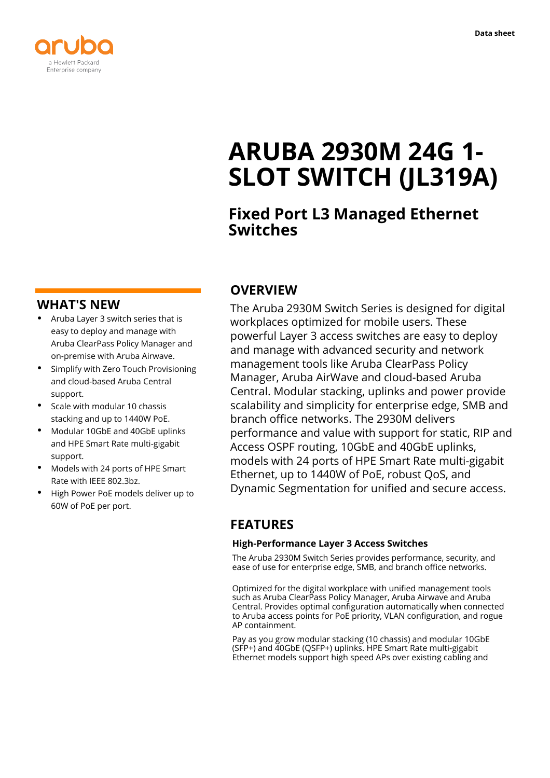

# **ARUBA 2930M 24G 1- SLOT SWITCH (JL319A)**

# **Fixed Port L3 Managed Ethernet Switches**

### **WHAT'S NEW**

- **·** Aruba Layer 3 switch series that is easy to deploy and manage with Aruba ClearPass Policy Manager and on-premise with Aruba Airwave.
- **·** Simplify with Zero Touch Provisioning and cloud-based Aruba Central support.
- **·** Scale with modular 10 chassis stacking and up to 1440W PoE.
- **·** Modular 10GbE and 40GbE uplinks and HPE Smart Rate multi-gigabit support.
- **·** Models with 24 ports of HPE Smart Rate with IEEE 802.3bz.
- **·** High Power PoE models deliver up to 60W of PoE per port.

# **OVERVIEW**

The Aruba 2930M Switch Series is designed for digital workplaces optimized for mobile users. These powerful Layer 3 access switches are easy to deploy and manage with advanced security and network management tools like Aruba ClearPass Policy Manager, Aruba AirWave and cloud-based Aruba Central. Modular stacking, uplinks and power provide scalability and simplicity for enterprise edge, SMB and branch office networks. The 2930M delivers performance and value with support for static, RIP and Access OSPF routing, 10GbE and 40GbE uplinks, models with 24 ports of HPE Smart Rate multi-gigabit Ethernet, up to 1440W of PoE, robust QoS, and Dynamic Segmentation for unified and secure access.

# **FEATURES**

#### **High-Performance Layer 3 Access Switches**

The Aruba 2930M Switch Series provides performance, security, and ease of use for enterprise edge, SMB, and branch office networks.

Optimized for the digital workplace with unified management tools such as Aruba ClearPass Policy Manager, Aruba Airwave and Aruba Central. Provides optimal configuration automatically when connected to Aruba access points for PoE priority, VLAN configuration, and rogue AP containment.

Pay as you grow modular stacking (10 chassis) and modular 10GbE (SFP+) and 40GbE (QSFP+) uplinks. HPE Smart Rate multi-gigabit Ethernet models support high speed APs over existing cabling and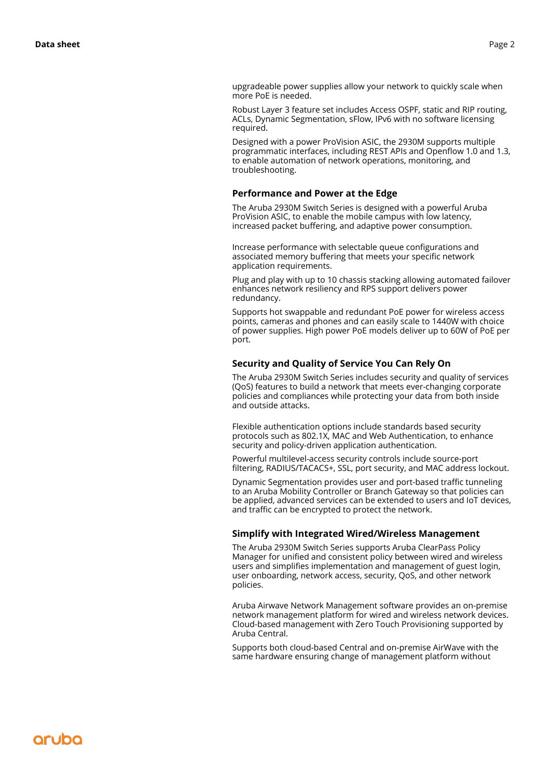upgradeable power supplies allow your network to quickly scale when more PoE is needed.

Robust Layer 3 feature set includes Access OSPF, static and RIP routing, ACLs, Dynamic Segmentation, sFlow, IPv6 with no software licensing required.

Designed with a power ProVision ASIC, the 2930M supports multiple programmatic interfaces, including REST APIs and Openflow 1.0 and 1.3, to enable automation of network operations, monitoring, and troubleshooting.

#### **Performance and Power at the Edge**

The Aruba 2930M Switch Series is designed with a powerful Aruba ProVision ASIC, to enable the mobile campus with low latency, increased packet buffering, and adaptive power consumption.

Increase performance with selectable queue configurations and associated memory buffering that meets your specific network application requirements.

Plug and play with up to 10 chassis stacking allowing automated failover enhances network resiliency and RPS support delivers power redundancy.

Supports hot swappable and redundant PoE power for wireless access points, cameras and phones and can easily scale to 1440W with choice of power supplies. High power PoE models deliver up to 60W of PoE per port.

#### **Security and Quality of Service You Can Rely On**

The Aruba 2930M Switch Series includes security and quality of services (QoS) features to build a network that meets ever-changing corporate policies and compliances while protecting your data from both inside and outside attacks.

Flexible authentication options include standards based security protocols such as 802.1X, MAC and Web Authentication, to enhance security and policy-driven application authentication.

Powerful multilevel-access security controls include source-port filtering, RADIUS/TACACS+, SSL, port security, and MAC address lockout.

Dynamic Segmentation provides user and port-based traffic tunneling to an Aruba Mobility Controller or Branch Gateway so that policies can be applied, advanced services can be extended to users and IoT devices, and traffic can be encrypted to protect the network.

#### **Simplify with Integrated Wired/Wireless Management**

The Aruba 2930M Switch Series supports Aruba ClearPass Policy Manager for unified and consistent policy between wired and wireless users and simplifies implementation and management of guest login, user onboarding, network access, security, QoS, and other network policies.

Aruba Airwave Network Management software provides an on-premise network management platform for wired and wireless network devices. Cloud-based management with Zero Touch Provisioning supported by Aruba Central.

Supports both cloud-based Central and on-premise AirWave with the same hardware ensuring change of management platform without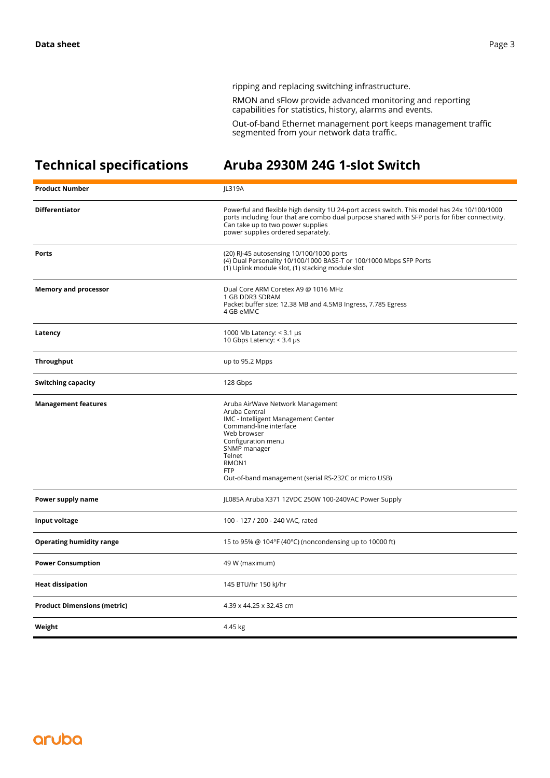ripping and replacing switching infrastructure.

RMON and sFlow provide advanced monitoring and reporting capabilities for statistics, history, alarms and events.

Out-of-band Ethernet management port keeps management traffic segmented from your network data traffic.

# **Technical specifications Aruba 2930M 24G 1-slot Switch**

| <b>Product Number</b>              | JL319A                                                                                                                                                                                                                                                                   |
|------------------------------------|--------------------------------------------------------------------------------------------------------------------------------------------------------------------------------------------------------------------------------------------------------------------------|
| <b>Differentiator</b>              | Powerful and flexible high density 1U 24-port access switch. This model has 24x 10/100/1000<br>ports including four that are combo dual purpose shared with SFP ports for fiber connectivity.<br>Can take up to two power supplies<br>power supplies ordered separately. |
| <b>Ports</b>                       | (20) RJ-45 autosensing 10/100/1000 ports<br>(4) Dual Personality 10/100/1000 BASE-T or 100/1000 Mbps SFP Ports<br>(1) Uplink module slot, (1) stacking module slot                                                                                                       |
| <b>Memory and processor</b>        | Dual Core ARM Coretex A9 @ 1016 MHz<br>1 GB DDR3 SDRAM<br>Packet buffer size: 12.38 MB and 4.5MB Ingress, 7.785 Egress<br>4 GB eMMC                                                                                                                                      |
| Latency                            | 1000 Mb Latency: $<$ 3.1 µs<br>10 Gbps Latency: < 3.4 µs                                                                                                                                                                                                                 |
| <b>Throughput</b>                  | up to 95.2 Mpps                                                                                                                                                                                                                                                          |
| Switching capacity                 | 128 Gbps                                                                                                                                                                                                                                                                 |
| <b>Management features</b>         | Aruba AirWave Network Management<br>Aruba Central<br>IMC - Intelligent Management Center<br>Command-line interface<br>Web browser<br>Configuration menu<br>SNMP manager<br>Telnet<br>RMON1<br><b>FTP</b><br>Out-of-band management (serial RS-232C or micro USB)         |
| Power supply name                  | JL085A Aruba X371 12VDC 250W 100-240VAC Power Supply                                                                                                                                                                                                                     |
| Input voltage                      | 100 - 127 / 200 - 240 VAC, rated                                                                                                                                                                                                                                         |
| <b>Operating humidity range</b>    | 15 to 95% @ 104°F (40°C) (noncondensing up to 10000 ft)                                                                                                                                                                                                                  |
| <b>Power Consumption</b>           | 49 W (maximum)                                                                                                                                                                                                                                                           |
| <b>Heat dissipation</b>            | 145 BTU/hr 150 kJ/hr                                                                                                                                                                                                                                                     |
| <b>Product Dimensions (metric)</b> | 4.39 x 44.25 x 32.43 cm                                                                                                                                                                                                                                                  |
| Weight                             | 4.45 kg                                                                                                                                                                                                                                                                  |